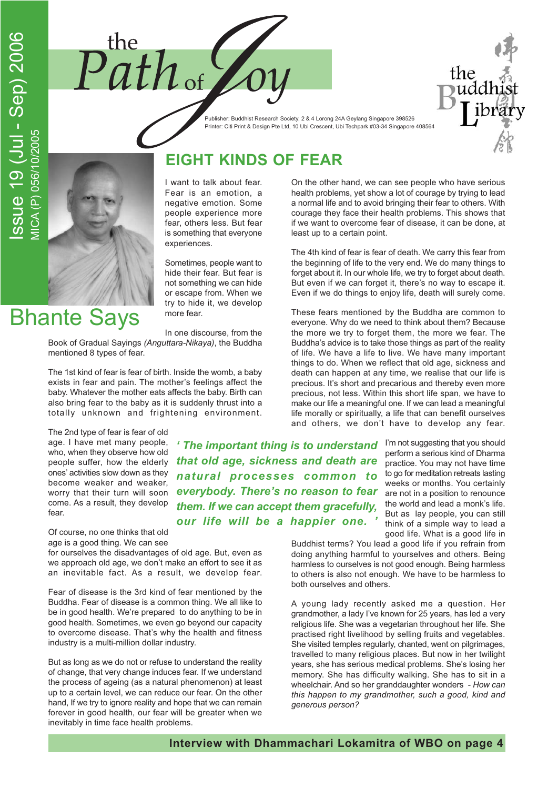



Publisher: Buddhist Research Society, 2 & 4 Lorong 24A Geylang Singapore 398526 Printer: Citi Print & Design Pte Ltd, 10 Ubi Crescent, Ubi Techpark #03-34 Singapore 408564

**Bhante Says** 

I want to talk about fear. Fear is an emotion, a negative emotion. Some people experience more fear, others less. But fear is something that everyone experiences.

**EIGHT KINDS OF FEAR** 

Sometimes, people want to hide their fear. But fear is not something we can hide or escape from. When we try to hide it, we develop more fear.

In one discourse, from the Book of Gradual Sayings (Anguttara-Nikaya), the Buddha mentioned 8 types of fear.

The 1st kind of fear is fear of birth. Inside the womb, a baby exists in fear and pain. The mother's feelings affect the baby. Whatever the mother eats affects the baby. Birth can also bring fear to the baby as it is suddenly thrust into a totally unknown and frightening environment.

The 2nd type of fear is fear of old age. I have met many people, who, when they observe how old people suffer, how the elderly ones' activities slow down as they become weaker and weaker, worry that their turn will soon come. As a result, they develop  $f\rho$ ar

Of course, no one thinks that old age is a good thing. We can see

for ourselves the disadvantages of old age. But, even as we approach old age, we don't make an effort to see it as an inevitable fact. As a result, we develop fear.

Fear of disease is the 3rd kind of fear mentioned by the Buddha. Fear of disease is a common thing. We all like to be in good health. We're prepared to do anything to be in good health. Sometimes, we even go beyond our capacity to overcome disease. That's why the health and fitness industry is a multi-million dollar industry.

But as long as we do not or refuse to understand the reality of change, that very change induces fear. If we understand the process of ageing (as a natural phenomenon) at least up to a certain level, we can reduce our fear. On the other hand, If we try to ignore reality and hope that we can remain forever in good health, our fear will be greater when we inevitably in time face health problems.

On the other hand, we can see people who have serious health problems, yet show a lot of courage by trying to lead a normal life and to avoid bringing their fear to others. With courage they face their health problems. This shows that if we want to overcome fear of disease, it can be done, at least up to a certain point.

The 4th kind of fear is fear of death. We carry this fear from the beginning of life to the very end. We do many things to forget about it. In our whole life, we try to forget about death. But even if we can forget it, there's no way to escape it. Even if we do things to enjoy life, death will surely come.

These fears mentioned by the Buddha are common to everyone. Why do we need to think about them? Because the more we try to forget them, the more we fear. The Buddha's advice is to take those things as part of the reality of life. We have a life to live. We have many important things to do. When we reflect that old age, sickness and death can happen at any time, we realise that our life is precious. It's short and precarious and thereby even more precious, not less. Within this short life span, we have to make our life a meaningful one. If we can lead a meaningful life morally or spiritually, a life that can benefit ourselves and others, we don't have to develop any fear.

' The important thing is to understand I'm not suggesting that you should that old age, sickness and death are natural processes common to everybody. There's no reason to fear them. If we can accept them gracefully, our life will be a happier one.

perform a serious kind of Dharma practice. You may not have time to go for meditation retreats lasting weeks or months. You certainly are not in a position to renounce the world and lead a monk's life. But as lay people, you can still think of a simple way to lead a good life. What is a good life in

Buddhist terms? You lead a good life if you refrain from doing anything harmful to yourselves and others. Being harmless to ourselves is not good enough. Being harmless to others is also not enough. We have to be harmless to both ourselves and others.

A young lady recently asked me a question. Her grandmother, a lady I've known for 25 years, has led a very religious life. She was a vegetarian throughout her life. She practised right livelihood by selling fruits and vegetables. She visited temples regularly, chanted, went on pilgrimages, travelled to many religious places. But now in her twilight years, she has serious medical problems. She's losing her memory. She has difficulty walking. She has to sit in a wheelchair. And so her granddaughter wonders - How can this happen to my grandmother, such a good, kind and generous person?

Interview with Dhammachari Lokamitra of WBO on page 4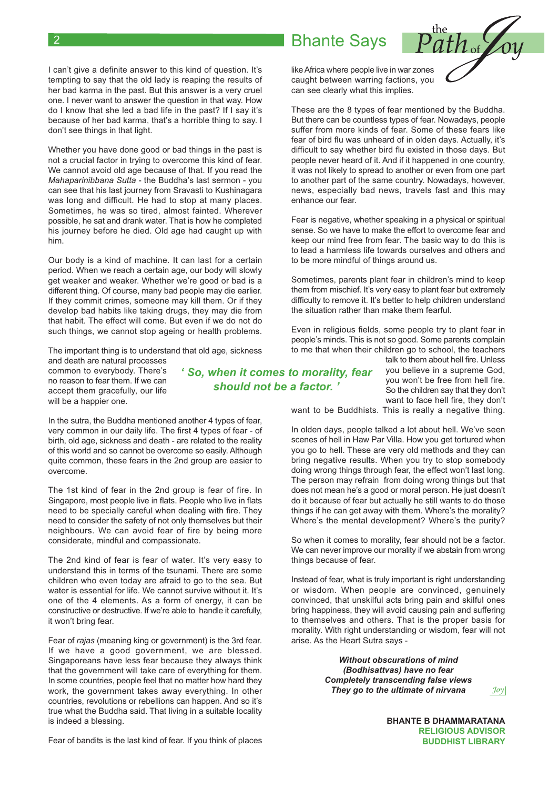#### I can't give a definite answer to this kind of question. It's tempting to say that the old lady is reaping the results of her bad karma in the past. But this answer is a very cruel one. I never want to answer the question in that way. How do I know that she led a bad life in the past? If I say it's because of her bad karma, that's a horrible thing to say. I don't see things in that light.

Whether you have done good or bad things in the past is not a crucial factor in trying to overcome this kind of fear. We cannot avoid old age because of that. If you read the Mahaparinibbana Sutta - the Buddha's last sermon - you can see that his last journey from Sravasti to Kushinagara was long and difficult. He had to stop at many places. Sometimes, he was so tired, almost fainted. Wherever possible, he sat and drank water. That is how he completed his journey before he died. Old age had caught up with him.

Our body is a kind of machine. It can last for a certain period. When we reach a certain age, our body will slowly get weaker and weaker. Whether we're good or bad is a different thing. Of course, many bad people may die earlier. If they commit crimes, someone may kill them. Or if they develop bad habits like taking drugs, they may die from that habit. The effect will come. But even if we do not do such things, we cannot stop ageing or health problems.

The important thing is to understand that old age, sickness

and death are natural processes common to everybody. There's no reason to fear them. If we can accept them gracefully, our life will be a happier one.

In the sutra, the Buddha mentioned another 4 types of fear, very common in our daily life. The first 4 types of fear - of birth, old age, sickness and death - are related to the reality of this world and so cannot be overcome so easily. Although quite common, these fears in the 2nd group are easier to overcome.

The 1st kind of fear in the 2nd group is fear of fire. In Singapore, most people live in flats. People who live in flats need to be specially careful when dealing with fire. They need to consider the safety of not only themselves but their neighbours. We can avoid fear of fire by being more considerate, mindful and compassionate.

The 2nd kind of fear is fear of water. It's very easy to understand this in terms of the tsunami. There are some children who even today are afraid to go to the sea. But water is essential for life. We cannot survive without it. It's one of the 4 elements. As a form of energy, it can be constructive or destructive. If we're able to handle it carefully, it won't bring fear.

Fear of rajas (meaning king or government) is the 3rd fear. If we have a good government, we are blessed. Singaporeans have less fear because they always think that the government will take care of everything for them. In some countries, people feel that no matter how hard they work, the government takes away everything. In other countries, revolutions or rebellions can happen. And so it's true what the Buddha said. That living in a suitable locality is indeed a blessing.

Fear of bandits is the last kind of fear. If you think of places

### 'So, when it comes to morality, fear should not be a factor.'

talk to them about hell fire. Unless you believe in a supreme God, you won't be free from hell fire. So the children say that they don't want to face hell fire, they don't

want to be Buddhists. This is really a negative thing.

In olden days, people talked a lot about hell. We've seen scenes of hell in Haw Par Villa. How you get tortured when you go to hell. These are very old methods and they can bring negative results. When you try to stop somebody doing wrong things through fear, the effect won't last long. The person may refrain from doing wrong things but that does not mean he's a good or moral person. He just doesn't do it because of fear but actually he still wants to do those things if he can get away with them. Where's the morality? Where's the mental development? Where's the purity?

So when it comes to morality, fear should not be a factor. We can never improve our morality if we abstain from wrong things because of fear.

Instead of fear, what is truly important is right understanding or wisdom. When people are convinced, genuinely convinced, that unskilful acts bring pain and skilful ones bring happiness, they will avoid causing pain and suffering to themselves and others. That is the proper basis for morality. With right understanding or wisdom, fear will not arise. As the Heart Sutra says -

> **Without obscurations of mind** (Bodhisattvas) have no fear **Completely transcending false views** They go to the ultimate of nirvana

 $Joy$ 

**BHANTE B DHAMMARATANA RELIGIOUS ADVISOR BUDDHIST LIBRARY** 

# **Bhante Savs**



like Africa where people live in war zones caught between warring factions, you can see clearly what this implies.

These are the 8 types of fear mentioned by the Buddha. But there can be countless types of fear. Nowadays, people suffer from more kinds of fear. Some of these fears like fear of bird flu was unheard of in olden days. Actually, it's difficult to say whether bird flu existed in those days. But people never heard of it. And if it happened in one country, it was not likely to spread to another or even from one part to another part of the same country. Nowadays, however, news, especially bad news, travels fast and this may enhance our fear.

Fear is negative, whether speaking in a physical or spiritual sense. So we have to make the effort to overcome fear and keep our mind free from fear. The basic way to do this is to lead a harmless life towards ourselves and others and to be more mindful of things around us.

Sometimes, parents plant fear in children's mind to keep them from mischief. It's very easy to plant fear but extremely difficulty to remove it. It's better to help children understand the situation rather than make them fearful.

Even in religious fields, some people try to plant fear in people's minds. This is not so good. Some parents complain to me that when their children go to school, the teachers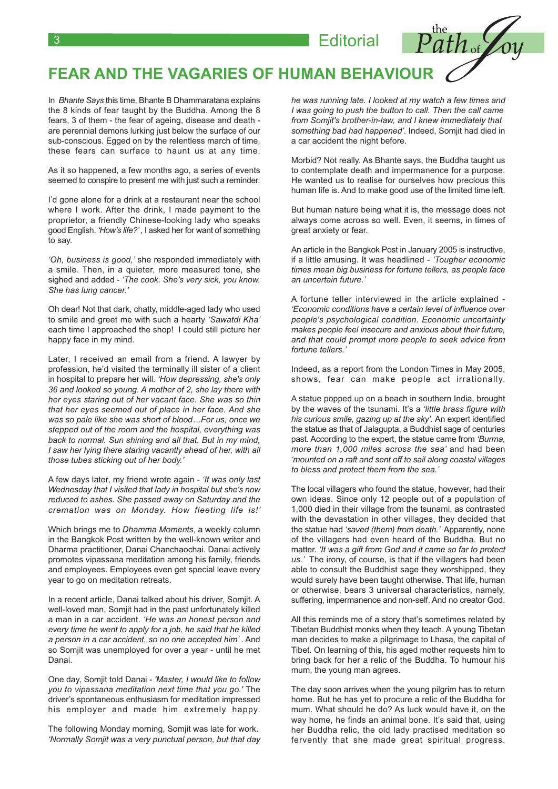**Editorial** 



In Bhante Savs this time. Bhante B Dhammaratana explains the 8 kinds of fear taught by the Buddha, Among the 8 fears, 3 of them - the fear of ageing, disease and death are perennial demons lurking just below the surface of our sub-conscious. Egged on by the relentless march of time, these fears can surface to haunt us at any time.

As it so happened, a few months ago, a series of events seemed to conspire to present me with just such a reminder.

I'd gone alone for a drink at a restaurant near the school where I work. After the drink, I made payment to the proprietor, a friendly Chinese-looking lady who speaks good English. 'How's life?', I asked her for want of something to say.

'Oh, business is good,' she responded immediately with a smile. Then, in a quieter, more measured tone, she sighed and added - 'The cook. She's very sick, you know. She has lung cancer.'

Oh dear! Not that dark, chatty, middle-aged lady who used to smile and greet me with such a hearty 'Sawatdi Kha' each time I approached the shop! I could still picture her happy face in my mind.

Later, I received an email from a friend. A lawyer by profession, he'd visited the terminally ill sister of a client in hospital to prepare her will. 'How depressing, she's only 36 and looked so young. A mother of 2, she lay there with her eyes staring out of her vacant face. She was so thin that her eyes seemed out of place in her face. And she was so pale like she was short of blood...For us, once we stepped out of the room and the hospital, everything was back to normal. Sun shining and all that. But in my mind, I saw her lying there staring vacantly ahead of her, with all those tubes sticking out of her body.'

A few days later, my friend wrote again - 'It was only last Wednesday that I visited that lady in hospital but she's now reduced to ashes. She passed away on Saturday and the cremation was on Monday. How fleeting life is!'

Which brings me to Dhamma Moments, a weekly column in the Bangkok Post written by the well-known writer and Dharma practitioner. Danai Chanchaochai. Danai actively promotes vipassana meditation among his family, friends and employees. Employees even get special leave every year to go on meditation retreats.

In a recent article, Danai talked about his driver, Somjit. A well-loved man, Somjit had in the past unfortunately killed a man in a car accident. 'He was an honest person and every time he went to apply for a job, he said that he killed a person in a car accident, so no one accepted him'. And so Somjit was unemployed for over a year - until he met Danai.

One day, Somjit told Danai - 'Master, I would like to follow you to vipassana meditation next time that you go.' The driver's spontaneous enthusiasm for meditation impressed his employer and made him extremely happy.

The following Monday morning, Somjit was late for work. 'Normally Somjit was a very punctual person, but that day he was running late. I looked at my watch a few times and I was going to push the button to call. Then the call came from Somjit's brother-in-law, and I knew immediately that something bad had happened'. Indeed, Somjit had died in a car accident the night before.

Morbid? Not really. As Bhante says, the Buddha taught us to contemplate death and impermanence for a purpose. He wanted us to realise for ourselves how precious this human life is. And to make good use of the limited time left.

But human nature being what it is, the message does not always come across so well. Even, it seems, in times of great anxiety or fear.

An article in the Bangkok Post in January 2005 is instructive, if a little amusing. It was headlined - 'Tougher economic times mean big business for fortune tellers, as people face an uncertain future.'

A fortune teller interviewed in the article explained -'Economic conditions have a certain level of influence over people's psychological condition. Economic uncertainty makes people feel insecure and anxious about their future, and that could prompt more people to seek advice from fortune tellers.'

Indeed, as a report from the London Times in May 2005, shows, fear can make people act irrationally.

A statue popped up on a beach in southern India, brought by the waves of the tsunami. It's a 'little brass figure with his curious smile, gazing up at the sky'. An expert identified the statue as that of Jalagupta, a Buddhist sage of centuries past. According to the expert, the statue came from 'Burma, more than 1,000 miles across the sea' and had been 'mounted on a raft and sent off to sail along coastal villages to bless and protect them from the sea.'

The local villagers who found the statue, however, had their own ideas. Since only 12 people out of a population of 1,000 died in their village from the tsunami, as contrasted with the devastation in other villages, they decided that the statue had 'saved (them) from death.' Apparently, none of the villagers had even heard of the Buddha. But no matter. 'It was a gift from God and it came so far to protect us.' The irony, of course, is that if the villagers had been able to consult the Buddhist sage they worshipped, they would surely have been taught otherwise. That life, human or otherwise, bears 3 universal characteristics, namely, suffering, impermanence and non-self. And no creator God.

All this reminds me of a story that's sometimes related by Tibetan Buddhist monks when they teach. A young Tibetan man decides to make a pilgrimage to Lhasa, the capital of Tibet. On learning of this, his aged mother requests him to bring back for her a relic of the Buddha. To humour his mum, the young man agrees.

The day soon arrives when the young pilgrim has to return home. But he has yet to procure a relic of the Buddha for mum. What should he do? As luck would have it, on the way home, he finds an animal bone. It's said that, using her Buddha relic, the old lady practised meditation so fervently that she made great spiritual progress.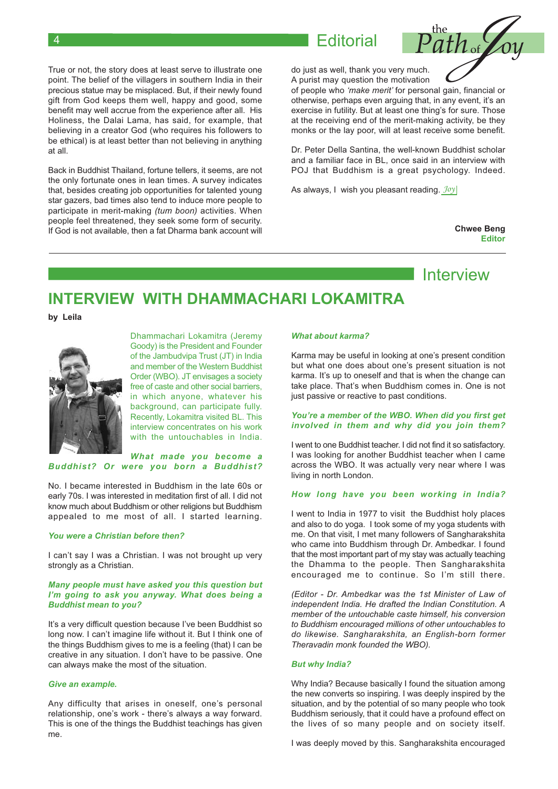**Editorial** 

True or not, the story does at least serve to illustrate one point. The belief of the villagers in southern India in their precious statue may be misplaced. But, if their newly found gift from God keeps them well, happy and good, some benefit may well accrue from the experience after all. His Holiness, the Dalai Lama, has said, for example, that believing in a creator God (who requires his followers to be ethical) is at least better than not believing in anything at all.

Back in Buddhist Thailand, fortune tellers, it seems, are not the only fortunate ones in lean times. A survey indicates that, besides creating job opportunities for talented young star gazers, bad times also tend to induce more people to participate in merit-making (tum boon) activities. When people feel threatened, they seek some form of security. If God is not available, then a fat Dharma bank account will

do just as well, thank you very much. A purist may question the motivation

of people who 'make merit' for personal gain, financial or otherwise, perhaps even arquing that, in any event, it's an exercise in futility. But at least one thing's for sure. Those at the receiving end of the merit-making activity, be they monks or the lay poor, will at least receive some benefit.

Dr. Peter Della Santina, the well-known Buddhist scholar and a familiar face in BL, once said in an interview with POJ that Buddhism is a great psychology. Indeed.

As always, I wish you pleasant reading. Joy

**Chwee Beng Editor** 

### Interview

## INTERVIEW WITH DHAMMACHARI I OKAMITRA

by Leila



Dhammachari Lokamitra (Jeremy Goody) is the President and Founder of the Jambudvipa Trust (JT) in India and member of the Western Buddhist Order (WBO). JT envisages a society free of caste and other social barriers, in which anyone, whatever his background, can participate fully. Recently, Lokamitra visited BL. This interview concentrates on his work with the untouchables in India.

### What made you become a Buddhist? Or were you born a Buddhist?

No. I became interested in Buddhism in the late 60s or early 70s. I was interested in meditation first of all. I did not know much about Buddhism or other religions but Buddhism appealed to me most of all. I started learning.

#### You were a Christian before then?

I can't say I was a Christian. I was not brought up very strongly as a Christian.

#### Many people must have asked you this question but I'm going to ask you anyway. What does being a **Buddhist mean to vou?**

It's a very difficult question because I've been Buddhist so long now. I can't imagine life without it. But I think one of the things Buddhism gives to me is a feeling (that) I can be creative in any situation. I don't have to be passive. One can always make the most of the situation.

#### Give an example.

Any difficulty that arises in oneself, one's personal relationship, one's work - there's always a way forward. This is one of the things the Buddhist teachings has given me.

#### What about karma?

Karma may be useful in looking at one's present condition but what one does about one's present situation is not karma. It's up to oneself and that is when the change can take place. That's when Buddhism comes in. One is not just passive or reactive to past conditions.

### You're a member of the WBO. When did you first get involved in them and why did you join them?

I went to one Buddhist teacher. I did not find it so satisfactory. I was looking for another Buddhist teacher when I came across the WBO. It was actually very near where I was living in north London.

### How long have you been working in India?

I went to India in 1977 to visit the Buddhist holy places and also to do yoga. I took some of my yoga students with me. On that visit, I met many followers of Sangharakshita who came into Buddhism through Dr. Ambedkar. I found that the most important part of my stay was actually teaching the Dhamma to the people. Then Sangharakshita encouraged me to continue. So I'm still there.

(Editor - Dr. Ambedkar was the 1st Minister of Law of independent India. He drafted the Indian Constitution. A member of the untouchable caste himself, his conversion to Buddhism encouraged millions of other untouchables to do likewise. Sangharakshita, an English-born former Theravadin monk founded the WBO).

#### **But why India?**

Why India? Because basically I found the situation among the new converts so inspiring. I was deeply inspired by the situation, and by the potential of so many people who took Buddhism seriously, that it could have a profound effect on the lives of so many people and on society itself.

I was deeply moved by this. Sangharakshita encouraged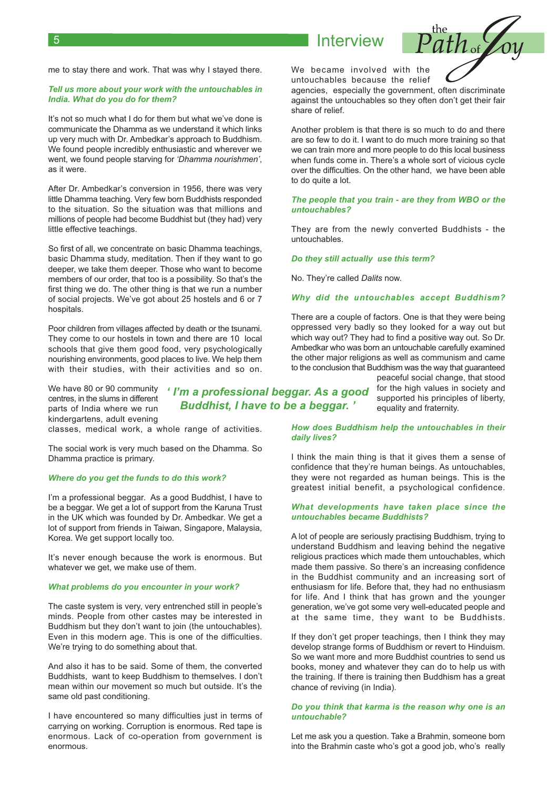### Interview

me to stay there and work. That was why I stayed there.

#### Tell us more about your work with the untouchables in India. What do you do for them?

It's not so much what I do for them but what we've done is communicate the Dhamma as we understand it which links up very much with Dr. Ambedkar's approach to Buddhism. We found people incredibly enthusiastic and wherever we went, we found people starving for 'Dhamma nourishmen', as it were.

After Dr. Ambedkar's conversion in 1956, there was very little Dhamma teaching. Very few born Buddhists responded to the situation. So the situation was that millions and millions of people had become Buddhist but (they had) very little effective teachings.

So first of all, we concentrate on basic Dhamma teachings, basic Dhamma study, meditation. Then if they want to go deeper, we take them deeper. Those who want to become members of our order, that too is a possibility. So that's the first thing we do. The other thing is that we run a number of social projects. We've got about 25 hostels and 6 or 7 hospitals.

Poor children from villages affected by death or the tsunami. They come to our hostels in town and there are 10 local schools that give them good food, very psychologically nourishing environments, good places to live. We help them with their studies, with their activities and so on.

We have 80 or 90 community centres, in the slums in different parts of India where we run kindergartens, adult evening

classes, medical work, a whole range of activities.

The social work is very much based on the Dhamma. So Dhamma practice is primary.

### Where do you get the funds to do this work?

I'm a professional beggar. As a good Buddhist, I have to be a beggar. We get a lot of support from the Karuna Trust in the UK which was founded by Dr. Ambedkar. We get a lot of support from friends in Taiwan, Singapore, Malaysia, Korea. We get support locally too.

It's never enough because the work is enormous. But whatever we get, we make use of them.

#### What problems do you encounter in your work?

The caste system is very, very entrenched still in people's minds. People from other castes may be interested in Buddhism but they don't want to join (the untouchables). Even in this modern age. This is one of the difficulties. We're trying to do something about that.

And also it has to be said. Some of them, the converted Buddhists, want to keep Buddhism to themselves. I don't mean within our movement so much but outside. It's the same old past conditioning.

I have encountered so many difficulties just in terms of carrying on working. Corruption is enormous. Red tape is enormous. Lack of co-operation from government is enormous

We became involved with the untouchables because the relief

agencies, especially the government, often discriminate against the untouchables so they often don't get their fair share of relief.

Another problem is that there is so much to do and there are so few to do it. I want to do much more training so that we can train more and more people to do this local business when funds come in. There's a whole sort of vicious cycle over the difficulties. On the other hand, we have been able to do quite a lot.

#### The people that you train - are they from WBO or the untouchables?

They are from the newly converted Buddhists - the untouchables.

Do they still actually use this term?

No. They're called Dalits now.

#### Why did the untouchables accept Buddhism?

There are a couple of factors. One is that they were being oppressed very badly so they looked for a way out but which way out? They had to find a positive way out. So Dr. Ambedkar who was born an untouchable carefully examined the other major religions as well as communism and came to the conclusion that Buddhism was the way that guaranteed

> peaceful social change, that stood for the high values in society and supported his principles of liberty, equality and fraternity.

How does Buddhism help the untouchables in their daily lives?

I think the main thing is that it gives them a sense of confidence that they're human beings. As untouchables, they were not regarded as human beings. This is the greatest initial benefit, a psychological confidence.

#### What developments have taken place since the untouchables became Buddhists?

A lot of people are seriously practising Buddhism, trying to understand Buddhism and leaving behind the negative religious practices which made them untouchables, which made them passive. So there's an increasing confidence in the Buddhist community and an increasing sort of enthusiasm for life. Before that, they had no enthusiasm for life. And I think that has grown and the younger generation, we've got some very well-educated people and at the same time, they want to be Buddhists.

If they don't get proper teachings, then I think they may develop strange forms of Buddhism or revert to Hinduism. So we want more and more Buddhist countries to send us books, money and whatever they can do to help us with the training. If there is training then Buddhism has a great chance of reviving (in India).

#### Do you think that karma is the reason why one is an untouchable?

Let me ask you a question. Take a Brahmin, someone born into the Brahmin caste who's got a good job, who's really

' I'm a professional beggar. As a good **Buddhist, I have to be a beggar.**'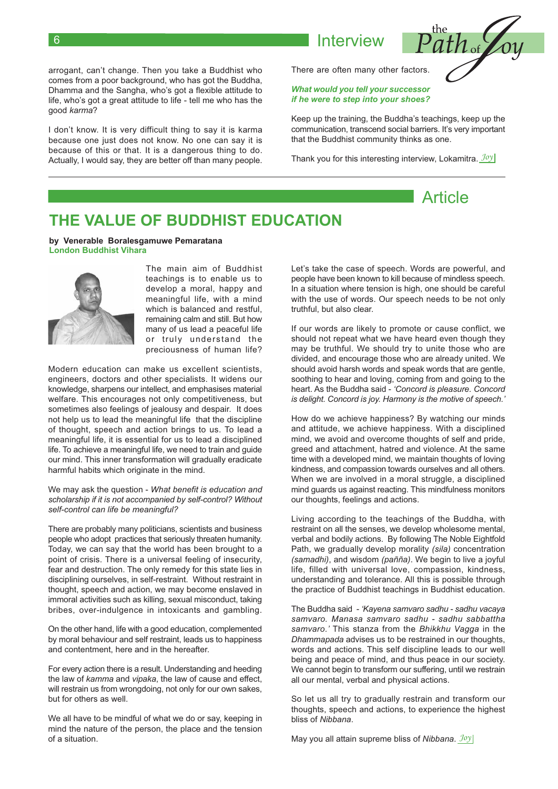arrogant, can't change. Then you take a Buddhist who comes from a poor background, who has got the Buddha, Dhamma and the Sangha, who's got a flexible attitude to life, who's got a great attitude to life - tell me who has the good karma?

I don't know. It is very difficult thing to say it is karma because one just does not know. No one can say it is because of this or that. It is a dangerous thing to do. Actually. I would say, they are better off than many people. There are often many other factors.

Interview

### What would you tell your successor if he were to step into your shoes?

Keep up the training, the Buddha's teachings, keep up the communication, transcend social barriers. It's very important that the Buddhist community thinks as one.

Thank you for this interesting interview, Lokamitra.  $\frac{\partial \partial y}{\partial x}$ 

### THE VALUE OF BUDDHIST EDUCATION

#### by Venerable Boralesgamuwe Pemaratana **London Buddhist Vihara**



The main aim of Buddhist teachings is to enable us to develop a moral, happy and meaningful life, with a mind which is balanced and restful, remaining calm and still. But how many of us lead a peaceful life or truly understand the preciousness of human life?

Modern education can make us excellent scientists. engineers, doctors and other specialists. It widens our knowledge, sharpens our intellect, and emphasises material welfare. This encourages not only competitiveness, but sometimes also feelings of jealousy and despair. It does not help us to lead the meaningful life that the discipline of thought, speech and action brings to us. To lead a meaningful life, it is essential for us to lead a disciplined life. To achieve a meaningful life, we need to train and quide our mind. This inner transformation will gradually eradicate harmful habits which originate in the mind.

We may ask the question - What benefit is education and scholarship if it is not accompanied by self-control? Without self-control can life be meaningful?

There are probably many politicians, scientists and business people who adopt practices that seriously threaten humanity. Today, we can say that the world has been brought to a point of crisis. There is a universal feeling of insecurity, fear and destruction. The only remedy for this state lies in disciplining ourselves, in self-restraint. Without restraint in thought, speech and action, we may become enslaved in immoral activities such as killing, sexual misconduct, taking bribes, over-indulgence in intoxicants and gambling.

On the other hand, life with a good education, complemented by moral behaviour and self restraint, leads us to happiness and contentment, here and in the hereafter.

For every action there is a result. Understanding and heeding the law of kamma and vipaka, the law of cause and effect, will restrain us from wrongdoing, not only for our own sakes, but for others as well.

We all have to be mindful of what we do or say, keeping in mind the nature of the person, the place and the tension of a situation

Let's take the case of speech. Words are powerful, and people have been known to kill because of mindless speech. In a situation where tension is high, one should be careful with the use of words. Our speech needs to be not only truthful, but also clear.

If our words are likely to promote or cause conflict, we should not repeat what we have heard even though they may be truthful. We should try to unite those who are divided, and encourage those who are already united. We should avoid harsh words and speak words that are gentle, soothing to hear and loving, coming from and going to the heart. As the Buddha said - 'Concord is pleasure. Concord is delight. Concord is joy. Harmony is the motive of speech.'

How do we achieve happiness? By watching our minds and attitude, we achieve happiness. With a disciplined mind, we avoid and overcome thoughts of self and pride, greed and attachment, hatred and violence. At the same time with a developed mind, we maintain thoughts of loving kindness, and compassion towards ourselves and all others. When we are involved in a moral struggle, a disciplined mind quards us against reacting. This mindfulness monitors our thoughts, feelings and actions.

Living according to the teachings of the Buddha, with restraint on all the senses, we develop wholesome mental, verbal and bodily actions. By following The Noble Eightfold Path, we gradually develop morality (sila) concentration (samadhi), and wisdom (pañña). We begin to live a joyful life, filled with universal love, compassion, kindness, understanding and tolerance. All this is possible through the practice of Buddhist teachings in Buddhist education.

The Buddha said - 'Kayena samvaro sadhu - sadhu vacaya samvaro. Manasa samvaro sadhu - sadhu sabbattha samvaro.' This stanza from the Bhikkhu Vagga in the Dhammapada advises us to be restrained in our thoughts. words and actions. This self discipline leads to our well being and peace of mind, and thus peace in our society. We cannot begin to transform our suffering, until we restrain all our mental, verbal and physical actions.

So let us all try to gradually restrain and transform our thoughts, speech and actions, to experience the highest bliss of Nibbana.

May you all attain supreme bliss of Nibbana.  $Joy$ 



Article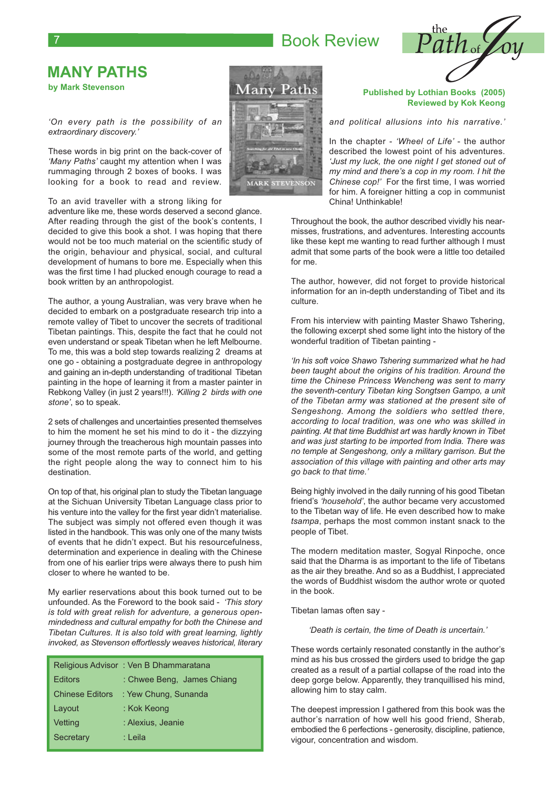## **Book Review**



### **MANY PATHS** by Mark Stevenson

'On every path is the possibility of an extraordinary discovery.'

These words in big print on the back-cover of 'Many Paths' caught my attention when I was rummaging through 2 boxes of books. I was looking for a book to read and review.

To an avid traveller with a strong liking for

adventure like me, these words deserved a second glance. After reading through the gist of the book's contents. I decided to give this book a shot. I was hoping that there would not be too much material on the scientific study of the origin, behaviour and physical, social, and cultural development of humans to bore me. Especially when this was the first time I had plucked enough courage to read a book written by an anthropologist.

The author, a young Australian, was very brave when he decided to embark on a postgraduate research trip into a remote valley of Tibet to uncover the secrets of traditional Tibetan paintings. This, despite the fact that he could not even understand or speak Tibetan when he left Melbourne. To me, this was a bold step towards realizing 2 dreams at one go - obtaining a postgraduate degree in anthropology and gaining an in-depth understanding of traditional Tibetan painting in the hope of learning it from a master painter in Rebkong Valley (in just 2 years!!!). 'Killing 2 birds with one stone', so to speak.

2 sets of challenges and uncertainties presented themselves to him the moment he set his mind to do it - the dizzying journey through the treacherous high mountain passes into some of the most remote parts of the world, and getting the right people along the way to connect him to his destination.

On top of that, his original plan to study the Tibetan language at the Sichuan University Tibetan Language class prior to his venture into the valley for the first year didn't materialise. The subject was simply not offered even though it was listed in the handbook. This was only one of the many twists of events that he didn't expect. But his resourcefulness, determination and experience in dealing with the Chinese from one of his earlier trips were always there to push him closer to where he wanted to be.

My earlier reservations about this book turned out to be unfounded. As the Foreword to the book said - 'This story' is told with great relish for adventure, a generous openmindedness and cultural empathy for both the Chinese and Tibetan Cultures. It is also told with great learning, lightly invoked, as Stevenson effortlessly weaves historical, literary

|                        | Religious Advisor: Ven B Dhammaratana |
|------------------------|---------------------------------------|
| <b>Editors</b>         | : Chwee Beng, James Chiang            |
| <b>Chinese Editors</b> | : Yew Chung, Sunanda                  |
| Layout                 | : Kok Keong                           |
| Vetting                | : Alexius, Jeanie                     |
| Secretary              | : Leila                               |



#### **Published by Lothian Books (2005) Reviewed by Kok Keong**

and political allusions into his narrative.'

In the chapter - 'Wheel of Life' - the author described the lowest point of his adventures. 'Just my luck, the one night I get stoned out of my mind and there's a cop in my room. I hit the Chinese cop!' For the first time. I was worried for him. A foreigner hitting a cop in communist China! Unthinkable!

Throughout the book, the author described vividly his nearmisses, frustrations, and adventures. Interesting accounts like these kept me wanting to read further although I must admit that some parts of the book were a little too detailed for me.

The author, however, did not forget to provide historical information for an in-depth understanding of Tibet and its culture.

From his interview with painting Master Shawo Tshering, the following excerpt shed some light into the history of the wonderful tradition of Tibetan painting -

'In his soft voice Shawo Tshering summarized what he had been taught about the origins of his tradition. Around the time the Chinese Princess Wencheng was sent to marry the seventh-century Tibetan king Songtsen Gampo, a unit of the Tibetan army was stationed at the present site of Sengeshong. Among the soldiers who settled there, according to local tradition, was one who was skilled in painting. At that time Buddhist art was hardly known in Tibet and was just starting to be imported from India. There was no temple at Sengeshong, only a military garrison. But the association of this village with painting and other arts may ao back to that time.'

Being highly involved in the daily running of his good Tibetan friend's 'household', the author became very accustomed to the Tibetan way of life. He even described how to make tsampa, perhaps the most common instant snack to the people of Tibet.

The modern meditation master, Sogyal Rinpoche, once said that the Dharma is as important to the life of Tibetans as the air they breathe. And so as a Buddhist. I appreciated the words of Buddhist wisdom the author wrote or quoted in the book.

Tibetan lamas often say -

'Death is certain, the time of Death is uncertain.'

These words certainly resonated constantly in the author's mind as his bus crossed the girders used to bridge the gap created as a result of a partial collapse of the road into the deep gorge below. Apparently, they tranquillised his mind, allowing him to stay calm.

The deepest impression I gathered from this book was the author's narration of how well his good friend, Sherab, embodied the 6 perfections - generosity, discipline, patience, vigour, concentration and wisdom.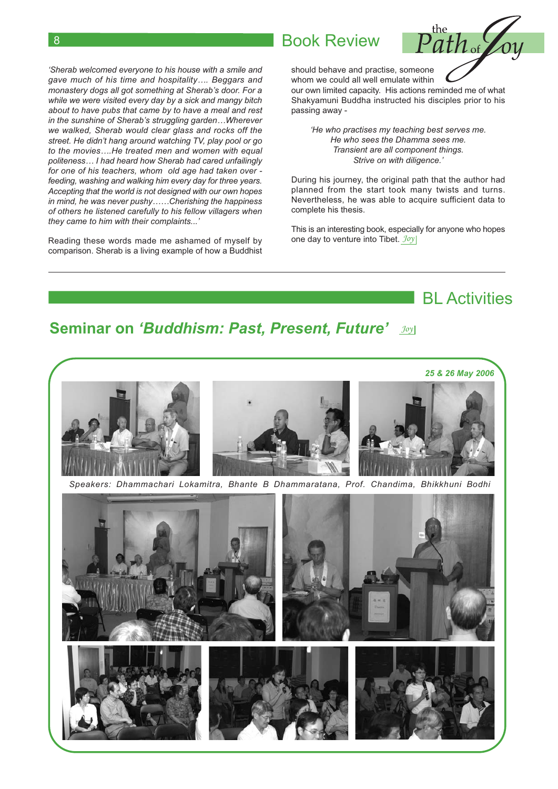'Sherab welcomed everyone to his house with a smile and gave much of his time and hospitality.... Beggars and monastery dogs all got something at Sherab's door. For a while we were visited every day by a sick and mangy bitch about to have pubs that came by to have a meal and rest in the sunshine of Sherab's struggling garden...Wherever we walked. Sherab would clear glass and rocks off the street. He didn't hang around watching TV, play pool or go to the movies....He treated men and women with equal politeness... I had heard how Sherab had cared unfailingly for one of his teachers, whom old age had taken over feeding, washing and walking him every day for three years. Accepting that the world is not designed with our own hopes in mind, he was never pushy......Cherishing the happiness of others he listened carefully to his fellow villagers when they came to him with their complaints...'

Reading these words made me ashamed of myself by comparison. Sherab is a living example of how a Buddhist

### **Book Review**



should behave and practise, someone whom we could all well emulate within

our own limited capacity. His actions reminded me of what Shakyamuni Buddha instructed his disciples prior to his passing away -

'He who practises my teaching best serves me. He who sees the Dhamma sees me. Transient are all component things. Strive on with diligence.'

During his journey, the original path that the author had planned from the start took many twists and turns. Nevertheless, he was able to acquire sufficient data to complete his thesis.

This is an interesting book, especially for anyone who hopes one day to venture into Tibet. Joy

**BI** Activities

# **Seminar on 'Buddhism: Past, Present, Future' Joyl**



Speakers: Dhammachari Lokamitra, Bhante B Dhammaratana, Prof. Chandima, Bhikkhuni Bodhi